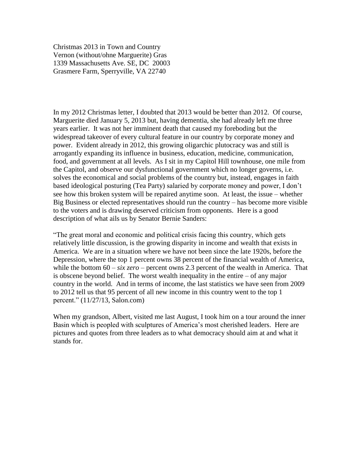Christmas 2013 in Town and Country Vernon (without/ohne Marguerite) Gras 1339 Massachusetts Ave. SE, DC 20003 Grasmere Farm, Sperryville, VA 22740

In my 2012 Christmas letter, I doubted that 2013 would be better than 2012. Of course, Marguerite died January 5, 2013 but, having dementia, she had already left me three years earlier. It was not her imminent death that caused my foreboding but the widespread takeover of every cultural feature in our country by corporate money and power. Evident already in 2012, this growing oligarchic plutocracy was and still is arrogantly expanding its influence in business, education, medicine, communication, food, and government at all levels. As I sit in my Capitol Hill townhouse, one mile from the Capitol, and observe our dysfunctional government which no longer governs, i.e. solves the economical and social problems of the country but, instead, engages in faith based ideological posturing (Tea Party) salaried by corporate money and power, I don't see how this broken system will be repaired anytime soon. At least, the issue – whether Big Business or elected representatives should run the country – has become more visible to the voters and is drawing deserved criticism from opponents. Here is a good description of what ails us by Senator Bernie Sanders:

"The great moral and economic and political crisis facing this country, which gets relatively little discussion, is the growing disparity in income and wealth that exists in America. We are in a situation where we have not been since the late 1920s, before the Depression, where the top 1 percent owns 38 percent of the financial wealth of America, while the bottom  $60 - six$  *zero* – percent owns 2.3 percent of the wealth in America. That is obscene beyond belief. The worst wealth inequality in the entire – of any major country in the world. And in terms of income, the last statistics we have seen from 2009 to 2012 tell us that 95 percent of all new income in this country went to the top 1 percent." (11/27/13, Salon.com)

When my grandson, Albert, visited me last August, I took him on a tour around the inner Basin which is peopled with sculptures of America's most cherished leaders. Here are pictures and quotes from three leaders as to what democracy should aim at and what it stands for.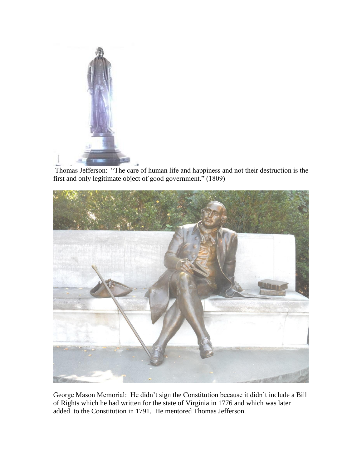

Thomas Jefferson: "The care of human life and happiness and not their destruction is the first and only legitimate object of good government." (1809)



George Mason Memorial: He didn't sign the Constitution because it didn't include a Bill of Rights which he had written for the state of Virginia in 1776 and which was later added to the Constitution in 1791. He mentored Thomas Jefferson.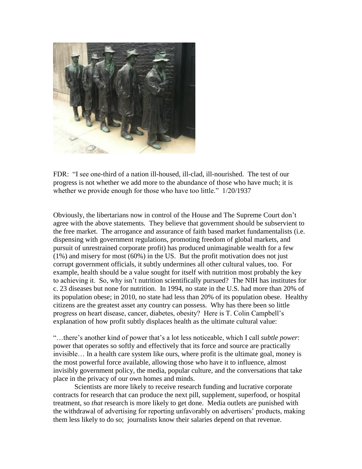

FDR: "I see one-third of a nation ill-housed, ill-clad, ill-nourished. The test of our progress is not whether we add more to the abundance of those who have much; it is whether we provide enough for those who have too little."  $1/20/1937$ 

Obviously, the libertarians now in control of the House and The Supreme Court don't agree with the above statements. They believe that government should be subservient to the free market. The arrogance and assurance of faith based market fundamentalists (i.e. dispensing with government regulations, promoting freedom of global markets, and pursuit of unrestrained corporate profit) has produced unimaginable wealth for a few (1%) and misery for most (60%) in the US. But the profit motivation does not just corrupt government officials, it subtly undermines all other cultural values, too. For example, health should be a value sought for itself with nutrition most probably the key to achieving it. So, why isn't nutrition scientifically pursued? The NIH has institutes for c. 23 diseases but none for nutrition. In 1994, no state in the U.S. had more than 20% of its population obese; in 2010, no state had less than 20% of its population obese. Healthy citizens are the greatest asset any country can possess. Why has there been so little progress on heart disease, cancer, diabetes, obesity? Here is T. Colin Campbell's explanation of how profit subtly displaces health as the ultimate cultural value:

"…there's another kind of power that's a lot less noticeable, which I call *subtle power*: power that operates so softly and effectively that its force and source are practically invisible… In a health care system like ours, where profit is the ultimate goal, money is the most powerful force available, allowing those who have it to influence, almost invisibly government policy, the media, popular culture, and the conversations that take place in the privacy of our own homes and minds.

Scientists are more likely to receive research funding and lucrative corporate contracts for research that can produce the next pill, supplement, superfood, or hospital treatment, so *that* research is more likely to get done. Media outlets are punished with the withdrawal of advertising for reporting unfavorably on advertisers' products, making them less likely to do so; journalists know their salaries depend on that revenue.